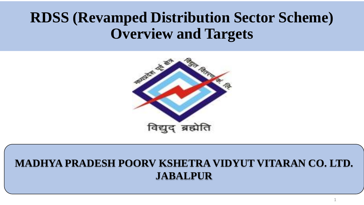#### **RDSS (Revamped Distribution Sector Scheme) Overview and Targets**



#### **MADHYA PRADESH POORV KSHETRA VIDYUT VITARAN CO. LTD. JABALPUR**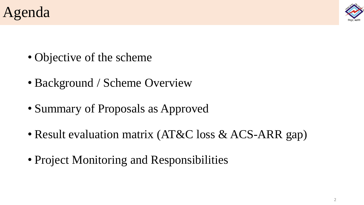



- Objective of the scheme
- Background / Scheme Overview
- Summary of Proposals as Approved
- Result evaluation matrix (AT&C loss & ACS-ARR gap)
- Project Monitoring and Responsibilities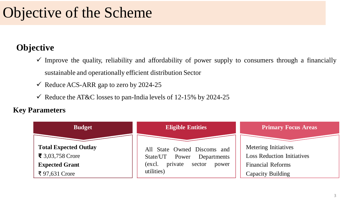#### **Objective**

- $\checkmark$  Improve the quality, reliability and affordability of power supply to consumers through a financially sustainable and operationally efficient distribution Sector
- $\checkmark$  Reduce ACS-ARR gap to zero by 2024-25
- $\checkmark$  Reduce the AT&C losses to pan-India levels of 12-15% by 2024-25

#### **Key Parameters**

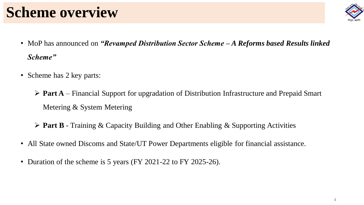## **Scheme overview**



- MoP has announced on *"Revamped Distribution Sector Scheme – A Reforms based Results linked Scheme"*
- Scheme has 2 key parts:

 **Part A** – Financial Support for upgradation of Distribution Infrastructure and Prepaid Smart Metering & System Metering

**Part B** - Training & Capacity Building and Other Enabling & Supporting Activities

- All State owned Discoms and State/UT Power Departments eligible for financial assistance.
- Duration of the scheme is 5 years (FY 2021-22 to FY 2025-26).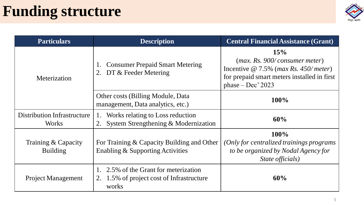#### **Funding structure**



| <b>Particulars</b>                                 | <b>Description</b>                                                                          | <b>Central Financial Assistance (Grant)</b>                                                                                                                          |
|----------------------------------------------------|---------------------------------------------------------------------------------------------|----------------------------------------------------------------------------------------------------------------------------------------------------------------------|
| Meterization                                       | <b>Consumer Prepaid Smart Metering</b><br>DT & Feeder Metering<br>2.                        | 15%<br>(max. Rs. 900/ consumer meter)<br>Incentive $\omega$ 7.5% ( <i>max Rs. 450/ meter</i> )<br>for prepaid smart meters installed in first<br>phase $-$ Dec' 2023 |
|                                                    | Other costs (Billing Module, Data<br>management, Data analytics, etc.)                      | 100%                                                                                                                                                                 |
| <b>Distribution Infrastructure</b><br><b>Works</b> | Works relating to Loss reduction<br>2. System Strengthening & Modernization                 | 60%                                                                                                                                                                  |
| Training & Capacity<br><b>Building</b>             | For Training & Capacity Building and Other<br>Enabling & Supporting Activities              | 100%<br>(Only for centralized trainings programs)<br>to be organized by Nodal Agency for<br>State officials)                                                         |
| <b>Project Management</b>                          | 1. 2.5% of the Grant for meterization<br>2. 1.5% of project cost of Infrastructure<br>works | 60%                                                                                                                                                                  |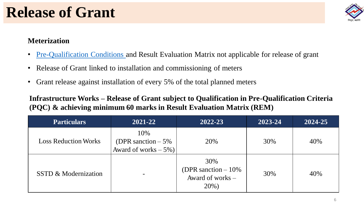

#### **Meterization**

- Pre-Qualification Conditions and Result Evaluation Matrix not applicable for release of grant
- Release of Grant linked to installation and commissioning of meters
- Grant release against installation of every 5% of the total planned meters

**Infrastructure Works – Release of Grant subject to Qualification in Pre-Qualification Criteria (PQC) & achieving minimum 60 marks in Result Evaluation Matrix (REM)**

| <b>Particulars</b>              | 2021-22                                                  | 2022-23                                                    | 2023-24 | 2024-25 |
|---------------------------------|----------------------------------------------------------|------------------------------------------------------------|---------|---------|
| <b>Loss Reduction Works</b>     | 10%<br>(DPR sanction $-5\%$ )<br>Award of works $-5\%$ ) | 20%                                                        | 30%     | 40%     |
| <b>SSTD &amp; Modernization</b> |                                                          | 30%<br>(DPR sanction $-10\%$ )<br>Award of works –<br>20%) | 30%     | 40%     |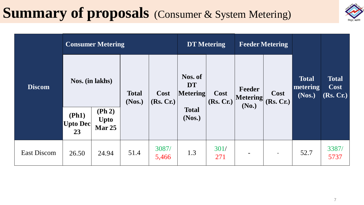### **Summary of proposals** (Consumer & System Metering)



| <b>Discom</b>      |                                                | <b>Consumer Metering</b>                          |                        |                   | <b>DT</b> Metering                      |                   | <b>Feeder Metering</b>             |                          |                                    |                                   |
|--------------------|------------------------------------------------|---------------------------------------------------|------------------------|-------------------|-----------------------------------------|-------------------|------------------------------------|--------------------------|------------------------------------|-----------------------------------|
|                    | Nos. (in lakhs)                                |                                                   | <b>Total</b><br>(Nos.) | Cost<br>(Rs, Cr.) | Nos. of<br><b>DT</b><br><b>Metering</b> | Cost<br>(Rs, Cr.) | Feeder<br><b>Metering</b><br>(No.) | Cost<br>(Rs, Cr.)        | <b>Total</b><br>metering<br>(Nos.) | <b>Total</b><br>Cost<br>(Rs, Cr.) |
|                    | (Ph1)<br>$ \mathbf{Upto}\:\mathbf{Dec} $<br>23 | $(\mathbf{Ph 2})$<br><b>Upto</b><br><b>Mar 25</b> |                        |                   | <b>Total</b><br>(Nos.)                  |                   |                                    |                          |                                    |                                   |
| <b>East Discom</b> | 26.50                                          | 24.94                                             | 51.4                   | 3087/<br>5,466    | 1.3                                     | 301/<br>271       |                                    | $\overline{\phantom{a}}$ | 52.7                               | 3387/<br>5737                     |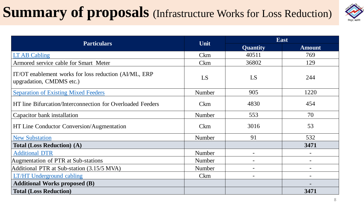## **Summary of proposals** (Infrastructure Works for Loss Reduction)



| <b>Particulars</b>                                                                | Unit          | East                     |                          |  |  |
|-----------------------------------------------------------------------------------|---------------|--------------------------|--------------------------|--|--|
|                                                                                   |               | <b>Quantity</b>          | <b>Amount</b>            |  |  |
| LT AB Cabling                                                                     | <b>Ckm</b>    | 40511                    | 769                      |  |  |
| Armored service cable for Smart Meter                                             | <b>Ckm</b>    | 36802                    | 129                      |  |  |
| IT/OT enablement works for loss reduction (AI/ML, ERP<br>upgradation, CMDMS etc.) | LS            | LS                       | 244                      |  |  |
| <b>Separation of Existing Mixed Feeders</b>                                       | Number        | 905                      | 1220                     |  |  |
| HT line Bifurcation/Interconnection for Overloaded Feeders                        | <b>Ckm</b>    | 4830                     | 454                      |  |  |
| Capacitor bank installation                                                       | Number        | 553                      | 70                       |  |  |
| HT Line Conductor Conversion/Augmentation                                         | <b>Ckm</b>    | 3016                     | 53                       |  |  |
| <b>New Substation</b>                                                             | Number        | 91                       | 532                      |  |  |
| <b>Total (Loss Reduction) (A)</b>                                                 |               |                          | 3471                     |  |  |
| <b>Additional DTR</b>                                                             | <b>Number</b> |                          |                          |  |  |
| Augmentation of PTR at Sub-stations                                               | <b>Number</b> |                          |                          |  |  |
| Additional PTR at Sub-station (3.15/5 MVA)                                        | Number        | $\overline{\phantom{a}}$ | $\overline{\phantom{0}}$ |  |  |
| <b>LT/HT Underground cabling</b>                                                  | <b>Ckm</b>    |                          |                          |  |  |
| <b>Additional Works proposed (B)</b>                                              |               |                          |                          |  |  |
| <b>Total (Loss Reduction)</b>                                                     |               |                          | 3471                     |  |  |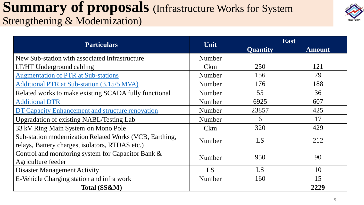#### **Summary of proposals** (Infrastructure Works for System Strengthening & Modernization)



| <b>Particulars</b>                                                                                         | Unit       |                 | <b>East</b>   |
|------------------------------------------------------------------------------------------------------------|------------|-----------------|---------------|
|                                                                                                            |            | <b>Quantity</b> | <b>Amount</b> |
| New Sub-station with associated Infrastructure                                                             | Number     |                 |               |
| LT/HT Underground cabling                                                                                  | <b>Ckm</b> | 250             | 121           |
| <b>Augmentation of PTR at Sub-stations</b>                                                                 | Number     | 156             | 79            |
| Additional PTR at Sub-station (3.15/5 MVA)                                                                 | Number     | 176             | 188           |
| Related works to make existing SCADA fully functional                                                      | Number     | 55              | 36            |
| <b>Additional DTR</b>                                                                                      | Number     | 6925            | 607           |
| DT Capacity Enhancement and structure renovation                                                           | Number     | 23857           | 425           |
| <b>Upgradation of existing NABL/Testing Lab</b>                                                            | Number     | 6               | 17            |
| 33 kV Ring Main System on Mono Pole                                                                        | <b>Ckm</b> | 320             | 429           |
| Sub-station modernization Related Works (VCB, Earthing,<br>relays, Battery charges, isolators, RTDAS etc.) | Number     | LS              | 212           |
| Control and monitoring system for Capacitor Bank &<br>Agriculture feeder                                   | Number     | 950             | 90            |
| <b>Disaster Management Activity</b>                                                                        | LS         | LS              | 10            |
| E-Vehicle Charging station and infra work                                                                  | Number     | 160             | 15            |
| Total (SS&M)                                                                                               |            |                 | 2229          |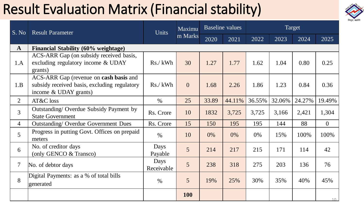## Result Evaluation Matrix (Financial stability)



| S. No                                               | <b>Result Parameter</b>                                                                                         | Maximu<br><b>Units</b> |                 |       | <b>Baseline</b> values |        | Target |        |                |  |
|-----------------------------------------------------|-----------------------------------------------------------------------------------------------------------------|------------------------|-----------------|-------|------------------------|--------|--------|--------|----------------|--|
|                                                     |                                                                                                                 |                        | m Marks         | 2020  | 2021                   | 2022   | 2023   | 2024   | 2025           |  |
| $\mathbf{A}$<br>Financial Stability (60% weightage) |                                                                                                                 |                        |                 |       |                        |        |        |        |                |  |
| 1.A                                                 | ACS-ARR Gap (on subsidy received basis,<br>excluding regulatory income & UDAY<br>grants)                        | Rs./kWh                | 30              | 1.27  | 1.77                   | 1.62   | 1.04   | 0.80   | 0.25           |  |
| 1.B                                                 | ACS-ARR Gap (revenue on cash basis and<br>subsidy received basis, excluding regulatory<br>income & UDAY grants) | $Rs./$ kWh             | $\overline{0}$  | 1.68  | 2.26                   | 1.86   | 1.23   | 0.84   | 0.36           |  |
| $\overline{2}$                                      | AT&C loss                                                                                                       | $\frac{0}{0}$          | 25              | 33.89 | 44.11%                 | 36.55% | 32.06% | 24.27% | 19.49%         |  |
| 3                                                   | Outstanding/Overdue Subsidy Payment by<br><b>State Government</b>                                               | Rs. Crore              | 10              | 1832  | 3,725                  | 3,725  | 3,166  | 2,421  | 1,304          |  |
| $\overline{4}$                                      | <b>Outstanding/ Overdue Government Dues</b>                                                                     | Rs. Crore              | 15              | 150   | 195                    | 195    | 144    | 88     | $\overline{0}$ |  |
| 5 <sup>5</sup>                                      | Progress in putting Govt. Offices on prepaid<br>meters                                                          | $\%$                   | 10              | 0%    | 0%                     | 0%     | 15%    | 100%   | 100%           |  |
| 6                                                   | No. of creditor days<br>(only GENCO & Transco)                                                                  | Days<br>Payable        | 5               | 214   | 217                    | 215    | 171    | 114    | 42             |  |
| $\tau$                                              | No. of debtor days                                                                                              | Days<br>Receivable     | $5\overline{)}$ | 238   | 318                    | 275    | 203    | 136    | 76             |  |
| 8                                                   | Digital Payments: as a % of total bills<br>generated                                                            | $\%$                   | 5               | 19%   | 25%                    | 30%    | 35%    | 40%    | 45%            |  |
|                                                     |                                                                                                                 |                        | <b>100</b>      |       |                        |        |        |        | $10 -$         |  |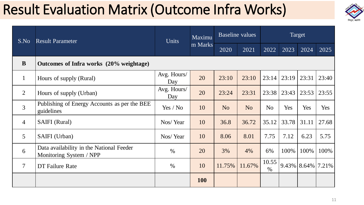### Result Evaluation Matrix (Outcome Infra Works)



| S.No            | <b>Result Parameter</b>                                             | <b>Units</b>       | Maximu     |                | <b>Baseline</b> values | Target         |       |       |                        |
|-----------------|---------------------------------------------------------------------|--------------------|------------|----------------|------------------------|----------------|-------|-------|------------------------|
|                 |                                                                     |                    | m Marks    | 2020           | 2021                   | 2022           | 2023  | 2024  | 2025                   |
| B               | Outcomes of Infra works (20% weightage)                             |                    |            |                |                        |                |       |       |                        |
| $\mathbf{1}$    | Hours of supply (Rural)                                             | Avg. Hours/<br>Day | 20         | 23:10          | 23:10                  | 23:14          | 23:19 | 23:31 | 23:40                  |
| 2               | Hours of supply (Urban)                                             | Avg. Hours/<br>Day | 20         | 23:24          | 23:31                  | 23:38          | 23:43 | 23:53 | 23:55                  |
| 3               | Publishing of Energy Accounts as per the BEE<br>guidelines          | Yes / No           | 10         | N <sub>o</sub> | N <sub>o</sub>         | N <sub>o</sub> | Yes   | Yes   | Yes                    |
| $\overline{4}$  | <b>SAIFI</b> (Rural)                                                | Nos/Year           | 10         | 36.8           | 36.72                  | 35.12          | 33.78 | 31.11 | 27.68                  |
| $\mathfrak{S}$  | SAIFI (Urban)                                                       | Nos/Year           | 10         | 8.06           | 8.01                   | 7.75           | 7.12  | 6.23  | 5.75                   |
| 6               | Data availability in the National Feeder<br>Monitoring System / NPP | $\%$               | 20         | 3%             | 4%                     | 6%             | 100%  | 100%  | 100%                   |
| $7\overline{ }$ | DT Failure Rate                                                     | $\%$               | 10         | 11.75%         | 11.67%                 | 10.55<br>$\%$  |       |       | $9.43\%$ 8.64\% 7.21\% |
|                 |                                                                     |                    | <b>100</b> |                |                        |                |       |       |                        |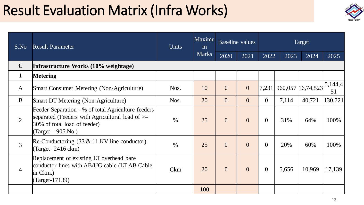### Result Evaluation Matrix (Infra Works)



| S.No           | <b>Result Parameter</b>                                                                                                                                                          | <b>Units</b>  | Maximu<br>m  | <b>Baseline</b> values |                | Target       |       |                         |               |
|----------------|----------------------------------------------------------------------------------------------------------------------------------------------------------------------------------|---------------|--------------|------------------------|----------------|--------------|-------|-------------------------|---------------|
|                |                                                                                                                                                                                  |               | <b>Marks</b> | 2020                   | 2021           | 2022         | 2023  | 2024                    | 2025          |
| $\mathbf C$    | Infrastructure Works (10% weightage)                                                                                                                                             |               |              |                        |                |              |       |                         |               |
| $\mathbf{1}$   | <b>Metering</b>                                                                                                                                                                  |               |              |                        |                |              |       |                         |               |
| $\mathbf{A}$   | <b>Smart Consumer Metering (Non-Agriculture)</b>                                                                                                                                 | Nos.          | 10           | $\overline{0}$         | $\overline{0}$ |              |       | 7,231 960,057 16,74,523 | 5,144,4<br>51 |
| $\bf{B}$       | <b>Smart DT Metering (Non-Agriculture)</b>                                                                                                                                       | Nos.          | 20           | $\overline{0}$         | $\Omega$       | $\theta$     | 7,114 | 40,721                  | 130,721       |
| $\overline{2}$ | Feeder Separation - % of total Agriculture feeders<br>separated (Feeders with Agricultural load of $\geq$<br>30% of total load of feeder)<br>$\text{(Target} - 905 \text{ No.})$ | $\frac{0}{0}$ | 25           | $\theta$               | $\overline{0}$ | $\theta$     | 31%   | 64%                     | 100%          |
| $\overline{3}$ | Re-Conductoring $(33 \& 11 \text{ KV line conductor})$<br>$(Target - 2416$ ckm $)$                                                                                               | $\%$          | 25           | $\overline{0}$         | $\overline{0}$ | $\theta$     | 20%   | 60%                     | 100%          |
| $\overline{4}$ | Replacement of existing LT overhead bare<br>conductor lines with AB/UG cable (LT AB Cable<br>$\sin$ Ckm.)<br>(Target-17139)                                                      | <b>Ckm</b>    | 20           | $\overline{0}$         | $\Omega$       | $\mathbf{0}$ | 5,656 | 10,969                  | 17,139        |
|                |                                                                                                                                                                                  |               | <b>100</b>   |                        |                |              |       |                         |               |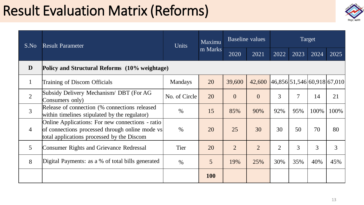### Result Evaluation Matrix (Reforms)



| S.No           | <b>Result Parameter</b>                                                                                                                           | <b>Units</b>   | Maximu     | Baseline values |                                       | Target         |      |      |      |  |
|----------------|---------------------------------------------------------------------------------------------------------------------------------------------------|----------------|------------|-----------------|---------------------------------------|----------------|------|------|------|--|
|                |                                                                                                                                                   |                | m Marks    | 2020            | 2021                                  | 2022           | 2023 | 2024 | 2025 |  |
| D              | Policy and Structural Reforms (10% weightage)                                                                                                     |                |            |                 |                                       |                |      |      |      |  |
|                | <b>Training of Discom Officials</b>                                                                                                               | <b>Mandays</b> | 20         | 39,600          | $42,600$  46,856 51,546 60,918 67,010 |                |      |      |      |  |
| $\overline{2}$ | Subsidy Delivery Mechanism/DBT (For AG<br>Consumers only)                                                                                         | No. of Circle  | 20         | $\overline{0}$  | $\Omega$                              | 3              | 7    | 14   | 21   |  |
| $\overline{3}$ | Release of connection (% connections released<br>within timelines stipulated by the regulator)                                                    | $\%$           | 15         | 85%             | 90%                                   | 92%            | 95%  | 100% | 100% |  |
| $\overline{4}$ | Online Applications: For new connections - ratio<br>of connections processed through online mode vs<br>total applications processed by the Discom | $\frac{0}{0}$  | 20         | 25              | 30                                    | 30             | 50   | 70   | 80   |  |
| 5 <sup>5</sup> | Consumer Rights and Grievance Redressal                                                                                                           | Tier           | 20         | $\overline{2}$  | $\overline{2}$                        | $\overline{2}$ | 3    | 3    | 3    |  |
| 8              | Digital Payments: as a % of total bills generated                                                                                                 | $\%$           | 5          | 19%             | 25%                                   | 30%            | 35%  | 40%  | 45%  |  |
|                |                                                                                                                                                   |                | <b>100</b> |                 |                                       |                |      |      |      |  |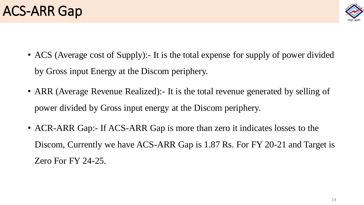#### ACS-ARR Gap



- ACS (Average cost of Supply): It is the total expense for supply of power divided by Gross input Energy at the Discom periphery.
- ARR (Average Revenue Realized): It is the total revenue generated by selling of power divided by Gross input energy at the Discom periphery.
- ACR-ARR Gap:- If ACS-ARR Gap is more than zero it indicates losses to the Discom, Currently we have ACS-ARR Gap is 1.87 Rs. For FY 20-21 and Target is Zero For FY 24-25.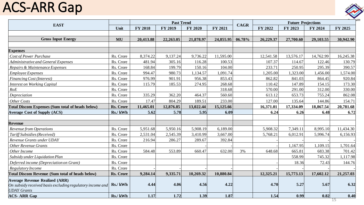#### ACS-ARR Gap



| <b>EAST</b>                                                                                                              |           |                | <b>Past Trend</b> |                |           | <b>CAGR</b> | <b>Future Projections</b> |           |           |           |  |
|--------------------------------------------------------------------------------------------------------------------------|-----------|----------------|-------------------|----------------|-----------|-------------|---------------------------|-----------|-----------|-----------|--|
|                                                                                                                          | Unit      | <b>FY 2018</b> | <b>FY 2019</b>    | <b>FY 2020</b> | FY 2021   |             | FY 2022                   | FY 2023   | FY 2024   | FY 2025   |  |
|                                                                                                                          |           |                |                   |                |           |             |                           |           |           |           |  |
| <b>Gross Input Energy</b>                                                                                                | MU        | 20,413.88      | 22,263.05         | 21,878.97      | 24,855.95 | 06.78%      | 26,229.37                 | 27,700.60 | 29,103.55 | 30,942.90 |  |
|                                                                                                                          |           |                |                   |                |           |             |                           |           |           |           |  |
| <b>Expenses</b>                                                                                                          |           |                |                   |                |           |             |                           |           |           |           |  |
| <b>Cost of Power Purchase</b>                                                                                            | Rs. Crore | 8,374.22       | 9,137.24          | 9,736.22       | 11,595.00 |             | 12,541.58                 | 13,576.17 | 14,762.99 | 16,245.38 |  |
| Administrative and General Expenses                                                                                      | Rs. Crore | 481.94         | 305.16            | 116.28         | 100.53    |             | 107.37                    | 114.67    | 122.46    | 130.79    |  |
| Repairs & Maintenance Expenses                                                                                           | Rs. Crore | 168.84         | 199.79            | 150.16         | 104.00    |             | 233.71                    | 250.95    | 295.39    | 390.57    |  |
| <b>Employee Expenses</b>                                                                                                 | Rs. Crore | 994.47         | 980.73            | 1,134.57       | 1,091.74  |             | 1,205.00                  | 1,323.00  | 1,456.00  | 1,574.00  |  |
| <b>Financing Cost (Interest)</b>                                                                                         | Rs. Crore | 976.99         | 901.91            | 956.38         | 853.43    |             | 862.82                    | 841.03    | 864.45    | 920.84    |  |
| <b>Interest on Working Capital</b>                                                                                       | Rs. Crore | 115.79         | 185.53            | 274.95         | 268.68    |             | 110.42                    | 147.89    | 154.15    | 173.30    |  |
| RoE                                                                                                                      | Rs. Crore |                |                   |                | 318.68    |             | 570.00                    | 291.00    | 312.00    | 330.00    |  |
| Depreciation                                                                                                             | Rs. Crore | 335.29         | 362.20            | 464.37         | 560.60    |             | 613.12                    | 653.73    | 755.24    | 862.08    |  |
| Other Costs                                                                                                              | Rs. Crore | 17.47          | 804.29            | 189.51         | 233.00    |             | 127.00                    | 135.64    | 144.86    | 154.71    |  |
| <b>Total Discom Expenses (Sum total of heads below)</b>                                                                  | Rs. Crore | 11,465.01      | 12,876.85         | 13,022.44      | 15,125.66 |             | 16,371.01                 | 17,334.09 | 18,867.54 | 20,781.68 |  |
| <b>Average Cost of Supply (ACS)</b>                                                                                      | Rs./ kWh  | 5.62           | 5.78              | 5.95           | 6.09      |             | 6.24                      | 6.26      | 6.48      | 6.72      |  |
|                                                                                                                          |           |                |                   |                |           |             |                           |           |           |           |  |
| <b>Revenue</b>                                                                                                           |           |                |                   |                |           |             |                           |           |           |           |  |
| <b>Revenue from Operations</b>                                                                                           | Rs. Crore | 5,951.68       | 5,950.16          | 5,908.19       | 6,189.00  |             | 5,908.32                  | 7,349.11  | 8,995.10  | 11,434.30 |  |
| Tariff Subsidies (Received)                                                                                              | Rs. Crore | 2,531.04       | 2,545.39          | 3,410.99       | 3,667.00  |             | 5,768.21                  | 6,012.91  | 5,996.74  | 6,156.93  |  |
| Revenue Grants under UDAY                                                                                                | Rs. Crore | 216.94         | 286.27            | 289.67         | 392.84    |             |                           |           |           |           |  |
| <b>Other Revenue Grants</b>                                                                                              | Rs. Crore |                |                   |                |           |             |                           | 1,167.95  | 1,109.15  | 1,701.64  |  |
| Other Income                                                                                                             | Rs. Crore | 584.48         | 553.89            | 660.47         | 632.00    | 3%          | 648.68                    | 665.81    | 683.38    | 701.42    |  |
| Subsidy under Liquidation Plan                                                                                           | Rs. Crore |                |                   |                |           |             |                           | 558.99    | 745.32    | 1,117.98  |  |
| Deferred income (Depreciation on Grant)                                                                                  | Rs. Crore |                |                   |                |           |             |                           | 18.36     | 72.43     | 144.76    |  |
| Regulatory Income                                                                                                        | Rs. Crore |                |                   |                |           |             |                           |           |           |           |  |
| <b>Total Discom Revenue (Sum total of heads below)</b>                                                                   | Rs. Crore | 9,284.14       | 9,335.71          | 10,269.32      | 10,880.84 |             | 12,325.21                 | 15,773.13 | 17,602.12 | 21,257.03 |  |
| <b>Average Revenue Realized (ARR)</b><br>On subsidy received basis excluding regulatory income and<br><b>UDAY</b> Grants | Rs./ kWh  | 4.44           | 4.06              | 4.56           | 4.22      |             | 4.70                      | 5.27      | 5.67      | 6.32      |  |
| <b>ACS- ARR Gap</b>                                                                                                      | Rs./kWh   | 1.17           | 1.72              | 1.39           | 1.87      |             | 1.54                      | 0.99      | 0.82      | 0.40      |  |

15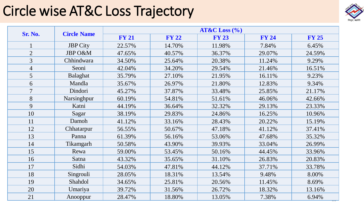#### Circle wise AT&C Loss Trajectory



|                | <b>Circle Name</b> | $AT&C$ Loss $(\% )$ |              |              |              |              |  |  |  |  |
|----------------|--------------------|---------------------|--------------|--------------|--------------|--------------|--|--|--|--|
| Sr. No.        |                    | <b>FY 21</b>        | <b>FY 22</b> | <b>FY 23</b> | <b>FY 24</b> | <b>FY 25</b> |  |  |  |  |
|                | <b>JBP</b> City    | 22.57%              | 14.70%       | 11.98%       | 7.84%        | 6.45%        |  |  |  |  |
| $\overline{2}$ | JBP O&M            | 47.65%              | 40.57%       | 36.37%       | 29.07%       | 24.59%       |  |  |  |  |
| 3              | Chhindwara         | 34.50%              | 25.64%       | 20.38%       | 11.24%       | 9.29%        |  |  |  |  |
| $\overline{4}$ | Seoni              | 42.04%              | 34.20%       | 29.54%       | 21.46%       | 16.51%       |  |  |  |  |
| 5              | Balaghat           | 35.79%              | 27.10%       | 21.95%       | 16.11%       | 9.23%        |  |  |  |  |
| 6              | Mandla             | 35.67%              | 26.97%       | 21.80%       | 12.83%       | 9.34%        |  |  |  |  |
| $\tau$         | Dindori            | 45.27%              | 37.87%       | 33.48%       | 25.85%       | 21.17%       |  |  |  |  |
| 8              | Narsinghpur        | 60.19%              | 54.81%       | 51.61%       | 46.06%       | 42.66%       |  |  |  |  |
| 9              | Katni              | 44.19%              | 36.64%       | 32.32%       | 29.13%       | 23.33%       |  |  |  |  |
| 10             | Sagar              | 38.19%              | 29.83%       | 24.86%       | 16.25%       | 10.96%       |  |  |  |  |
| 11             | Damoh              | 41.12%              | 33.16%       | 28.43%       | 20.22%       | 15.19%       |  |  |  |  |
| 12             | Chhatarpur         | 56.55%              | 50.67%       | 47.18%       | 41.12%       | 37.41%       |  |  |  |  |
| 13             | Panna              | 61.39%              | 56.16%       | 53.06%       | 47.68%       | 35.32%       |  |  |  |  |
| 14             | Tikamgarh          | 50.58%              | 43.90%       | 39.93%       | 33.04%       | 26.99%       |  |  |  |  |
| 15             | Rewa               | 59.00%              | 53.45%       | 50.16%       | 44.45%       | 33.96%       |  |  |  |  |
| 16             | Satna              | 43.32%              | 35.65%       | 31.10%       | 26.83%       | 20.83%       |  |  |  |  |
| 17             | Sidhi              | 54.03%              | 47.81%       | 44.12%       | 37.71%       | 33.78%       |  |  |  |  |
| 18             | Singrouli          | 28.05%              | 18.31%       | 13.54%       | 9.48%        | 8.00%        |  |  |  |  |
| 19             | Shahdol            | 34.65%              | 25.81%       | 20.56%       | 11.45%       | 8.69%        |  |  |  |  |
| 20             | Umariya            | 39.72%              | 31.56%       | 26.72%       | 18.32%       | 13.16%       |  |  |  |  |
| 21             | Anooppur           | 28.47%              | 18.80%       | 13.05%       | 7.38%        | 6.94%        |  |  |  |  |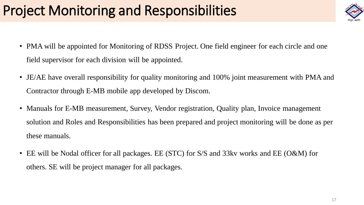## Project Monitoring and Responsibilities

- PMA will be appointed for Monitoring of RDSS Project. One field engineer for each circle and one field supervisor for each division will be appointed.
- JE/AE have overall responsibility for quality monitoring and 100% joint measurement with PMA and Contractor through E-MB mobile app developed by Discom.
- Manuals for E-MB measurement, Survey, Vendor registration, Quality plan, Invoice management solution and Roles and Responsibilities has been prepared and project monitoring will be done as per these manuals.
- EE will be Nodal officer for all packages. EE (STC) for S/S and 33kv works and EE (O&M) for others. SE will be project manager for all packages.